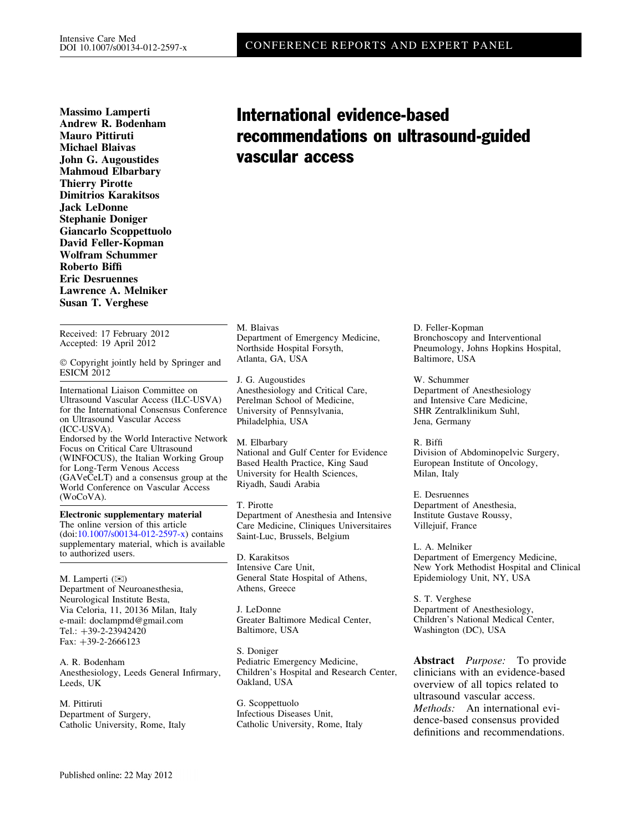recommendations on ultrasound-guided

International evidence-based

Massimo Lamperti Andrew R. Bodenham Mauro Pittiruti Michael Blaivas John G. Augoustides Mahmoud Elbarbary Thierry Pirotte Dimitrios Karakitsos Jack LeDonne Stephanie Doniger Giancarlo Scoppettuolo David Feller-Kopman Wolfram Schummer Roberto Biffi Eric Desruennes Lawrence A. Melniker Susan T. Verghese

Received: 17 February 2012 Accepted: 19 April 2012

! Copyright jointly held by Springer and ESICM<sub>2012</sub>

International Liaison Committee on Ultrasound Vascular Access (ILC-USVA) for the International Consensus Conference on Ultrasound Vascular Access (ICC-USVA). Endorsed by the World Interactive Network Focus on Critical Care Ultrasound (WINFOCUS), the Italian Working Group for Long-Term Venous Access (GAVeCeLT) and a consensus group at the World Conference on Vascular Access (WoCoVA).

Electronic supplementary material The online version of this article (doi:[10.1007/s00134-012-2597-x](http://dx.doi.org/10.1007/s00134-012-2597-x)) contains supplementary material, which is available to authorized users.

M. Lamperti  $(\boxtimes)$ Department of Neuroanesthesia, Neurological Institute Besta, Via Celoria, 11, 20136 Milan, Italy e-mail: doclampmd@gmail.com Tel.: +39-2-23942420 Fax:  $+39-2-2666123$ 

A. R. Bodenham Anesthesiology, Leeds General Infirmary, Leeds, UK

M. Pittiruti Department of Surgery, Catholic University, Rome, Italy M. Blaivas Department of Emergency Medicine, Northside Hospital Forsyth, Atlanta, GA, USA

vascular access

J. G. Augoustides Anesthesiology and Critical Care, Perelman School of Medicine, University of Pennsylvania, Philadelphia, USA

M. Elbarbary National and Gulf Center for Evidence Based Health Practice, King Saud University for Health Sciences, Riyadh, Saudi Arabia

T. Pirotte Department of Anesthesia and Intensive Care Medicine, Cliniques Universitaires Saint-Luc, Brussels, Belgium

D. Karakitsos Intensive Care Unit, General State Hospital of Athens, Athens, Greece

J. LeDonne Greater Baltimore Medical Center, Baltimore, USA

S. Doniger Pediatric Emergency Medicine, Children's Hospital and Research Center, Oakland, USA

G. Scoppettuolo Infectious Diseases Unit, Catholic University, Rome, Italy D. Feller-Kopman Bronchoscopy and Interventional Pneumology, Johns Hopkins Hospital, Baltimore, USA

W. Schummer Department of Anesthesiology and Intensive Care Medicine, SHR Zentralklinikum Suhl, Jena, Germany

R. Biffi Division of Abdominopelvic Surgery, European Institute of Oncology, Milan, Italy

E. Desruennes Department of Anesthesia, Institute Gustave Roussy, Villejuif, France

L. A. Melniker Department of Emergency Medicine, New York Methodist Hospital and Clinical Epidemiology Unit, NY, USA

S. T. Verghese Department of Anesthesiology, Children's National Medical Center, Washington (DC), USA

Abstract *Purpose*: To provide clinicians with an evidence-based overview of all topics related to ultrasound vascular access. Methods: An international evidence-based consensus provided definitions and recommendations.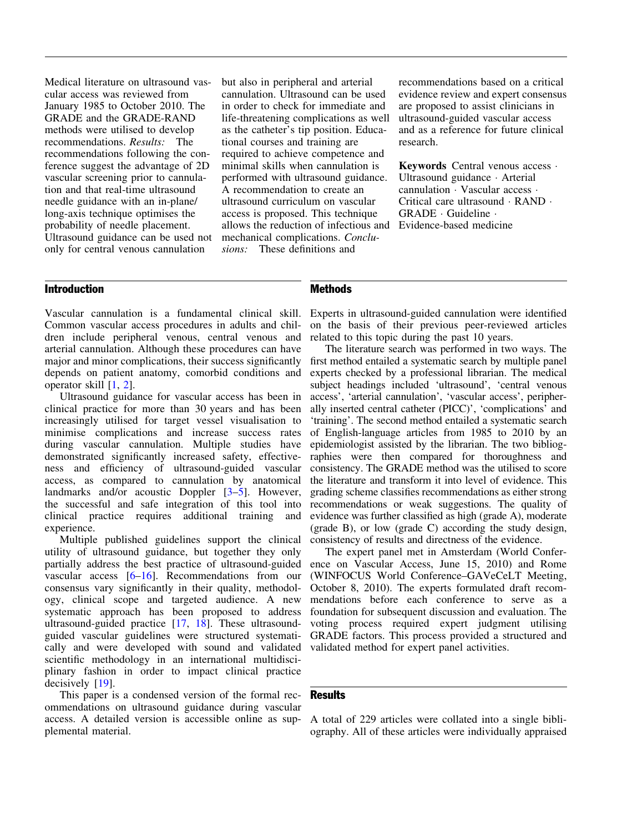Medical literature on ultrasound vascular access was reviewed from January 1985 to October 2010. The GRADE and the GRADE-RAND methods were utilised to develop recommendations. Results: The recommendations following the conference suggest the advantage of 2D vascular screening prior to cannulation and that real-time ultrasound needle guidance with an in-plane/ long-axis technique optimises the probability of needle placement. Ultrasound guidance can be used not only for central venous cannulation

but also in peripheral and arterial cannulation. Ultrasound can be used in order to check for immediate and life-threatening complications as well as the catheter's tip position. Educational courses and training are required to achieve competence and minimal skills when cannulation is performed with ultrasound guidance. A recommendation to create an ultrasound curriculum on vascular access is proposed. This technique allows the reduction of infectious and Evidence-based medicine mechanical complications. Conclusions: These definitions and

recommendations based on a critical evidence review and expert consensus are proposed to assist clinicians in ultrasound-guided vascular access and as a reference for future clinical research.

Keywords Central venous access  $\cdot$ Ultrasound guidance · Arterial cannulation · Vascular access · Critical care ultrasound · RAND ·  $GRADE \cdot Guideline \cdot$ 

# Introduction

#### Methods

Vascular cannulation is a fundamental clinical skill. Common vascular access procedures in adults and children include peripheral venous, central venous and arterial cannulation. Although these procedures can have major and minor complications, their success significantly depends on patient anatomy, comorbid conditions and operator skill [[1](#page-10-0), [2\]](#page-10-0).

Ultrasound guidance for vascular access has been in clinical practice for more than 30 years and has been increasingly utilised for target vessel visualisation to minimise complications and increase success rates during vascular cannulation. Multiple studies have demonstrated significantly increased safety, effectiveness and efficiency of ultrasound-guided vascular access, as compared to cannulation by anatomical landmarks and/or acoustic Doppler [[3–5\]](#page-10-0). However, the successful and safe integration of this tool into clinical practice requires additional training and experience.

Multiple published guidelines support the clinical utility of ultrasound guidance, but together they only partially address the best practice of ultrasound-guided vascular access [\[6–](#page-10-0)[16](#page-11-0)]. Recommendations from our consensus vary significantly in their quality, methodology, clinical scope and targeted audience. A new systematic approach has been proposed to address ultrasound-guided practice [[17](#page-11-0), [18](#page-11-0)]. These ultrasoundguided vascular guidelines were structured systematically and were developed with sound and validated scientific methodology in an international multidisciplinary fashion in order to impact clinical practice decisively [\[19\]](#page-11-0).

This paper is a condensed version of the formal recommendations on ultrasound guidance during vascular access. A detailed version is accessible online as supplemental material.

Experts in ultrasound-guided cannulation were identified on the basis of their previous peer-reviewed articles related to this topic during the past 10 years.

The literature search was performed in two ways. The first method entailed a systematic search by multiple panel experts checked by a professional librarian. The medical subject headings included 'ultrasound', 'central venous access', 'arterial cannulation', 'vascular access', peripherally inserted central catheter (PICC)', 'complications' and 'training'. The second method entailed a systematic search of English-language articles from 1985 to 2010 by an epidemiologist assisted by the librarian. The two bibliographies were then compared for thoroughness and consistency. The GRADE method was the utilised to score the literature and transform it into level of evidence. This grading scheme classifies recommendations as either strong recommendations or weak suggestions. The quality of evidence was further classified as high (grade A), moderate (grade B), or low (grade C) according the study design, consistency of results and directness of the evidence.

The expert panel met in Amsterdam (World Conference on Vascular Access, June 15, 2010) and Rome (WINFOCUS World Conference–GAVeCeLT Meeting, October 8, 2010). The experts formulated draft recommendations before each conference to serve as a foundation for subsequent discussion and evaluation. The voting process required expert judgment utilising GRADE factors. This process provided a structured and validated method for expert panel activities.

# Results

A total of 229 articles were collated into a single bibliography. All of these articles were individually appraised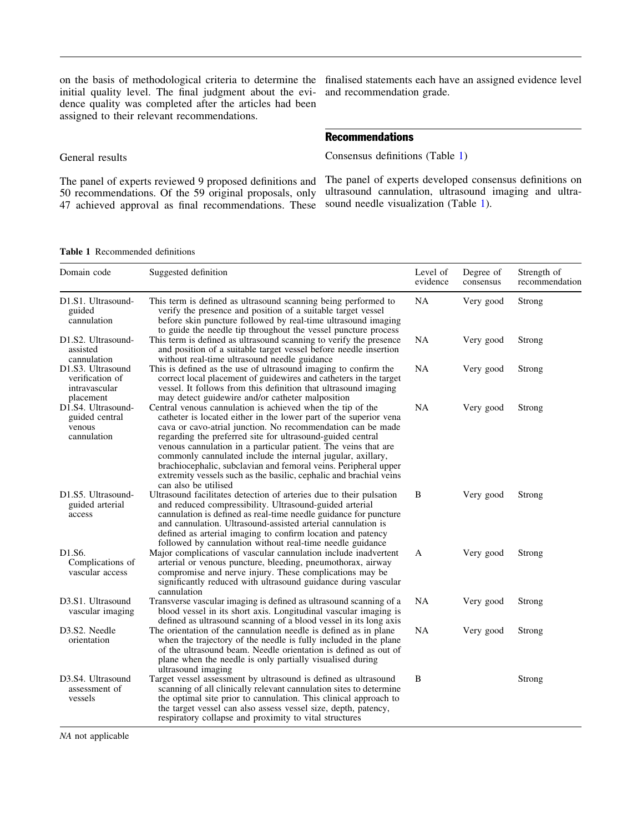on the basis of methodological criteria to determine the initial quality level. The final judgment about the evidence quality was completed after the articles had been assigned to their relevant recommendations.

finalised statements each have an assigned evidence level and recommendation grade.

### Recommendations

Consensus definitions (Table 1)

The panel of experts reviewed 9 proposed definitions and 50 recommendations. Of the 59 original proposals, only 47 achieved approval as final recommendations. These

The panel of experts developed consensus definitions on ultrasound cannulation, ultrasound imaging and ultrasound needle visualization (Table 1).

Table 1 Recommended definitions

| Domain code                                                             | Suggested definition                                                                                                                                                                                                                                                                                                                                                                                                                                                                                                                                           | Level of<br>evidence | Degree of<br>consensus | Strength of<br>recommendation |
|-------------------------------------------------------------------------|----------------------------------------------------------------------------------------------------------------------------------------------------------------------------------------------------------------------------------------------------------------------------------------------------------------------------------------------------------------------------------------------------------------------------------------------------------------------------------------------------------------------------------------------------------------|----------------------|------------------------|-------------------------------|
| D1.S1. Ultrasound-<br>guided<br>cannulation                             | This term is defined as ultrasound scanning being performed to<br>verify the presence and position of a suitable target vessel<br>before skin puncture followed by real-time ultrasound imaging<br>to guide the needle tip throughout the vessel puncture process                                                                                                                                                                                                                                                                                              | <b>NA</b>            | Very good              | Strong                        |
| D1.S2. Ultrasound-<br>assisted<br>cannulation                           | This term is defined as ultrasound scanning to verify the presence<br>and position of a suitable target vessel before needle insertion<br>without real-time ultrasound needle guidance                                                                                                                                                                                                                                                                                                                                                                         | NA                   | Very good              | Strong                        |
| D1.S3. Ultrasound<br>verification of<br>intravascular<br>placement      | This is defined as the use of ultrasound imaging to confirm the<br>correct local placement of guidewires and catheters in the target<br>vessel. It follows from this definition that ultrasound imaging<br>may detect guidewire and/or catheter malposition                                                                                                                                                                                                                                                                                                    | NA                   | Very good              | Strong                        |
| D1.S4. Ultrasound-<br>guided central<br>venous<br>cannulation           | Central venous cannulation is achieved when the tip of the<br>catheter is located either in the lower part of the superior vena<br>cava or cavo-atrial junction. No recommendation can be made<br>regarding the preferred site for ultrasound-guided central<br>venous cannulation in a particular patient. The veins that are<br>commonly cannulated include the internal jugular, axillary,<br>brachiocephalic, subclavian and femoral veins. Peripheral upper<br>extremity vessels such as the basilic, cephalic and brachial veins<br>can also be utilised | NA                   | Very good              | Strong                        |
| D1.S5. Ultrasound-<br>guided arterial<br>access                         | Ultrasound facilitates detection of arteries due to their pulsation<br>and reduced compressibility. Ultrasound-guided arterial<br>cannulation is defined as real-time needle guidance for puncture<br>and cannulation. Ultrasound-assisted arterial cannulation is<br>defined as arterial imaging to confirm location and patency<br>followed by cannulation without real-time needle guidance                                                                                                                                                                 | B                    | Very good              | Strong                        |
| D <sub>1.</sub> S <sub>6</sub> .<br>Complications of<br>vascular access | Major complications of vascular cannulation include inadvertent<br>arterial or venous puncture, bleeding, pneumothorax, airway<br>compromise and nerve injury. These complications may be<br>significantly reduced with ultrasound guidance during vascular<br>cannulation                                                                                                                                                                                                                                                                                     | $\mathsf{A}$         | Very good              | Strong                        |
| D3.S1. Ultrasound<br>vascular imaging                                   | Transverse vascular imaging is defined as ultrasound scanning of a<br>blood vessel in its short axis. Longitudinal vascular imaging is<br>defined as ultrasound scanning of a blood vessel in its long axis                                                                                                                                                                                                                                                                                                                                                    | NA                   | Very good              | Strong                        |
| D3.S2. Needle<br>orientation                                            | The orientation of the cannulation needle is defined as in plane<br>when the trajectory of the needle is fully included in the plane<br>of the ultrasound beam. Needle orientation is defined as out of<br>plane when the needle is only partially visualised during<br>ultrasound imaging                                                                                                                                                                                                                                                                     | NA                   | Very good              | Strong                        |
| D3.S4. Ultrasound<br>assessment of<br>vessels                           | Target vessel assessment by ultrasound is defined as ultrasound<br>scanning of all clinically relevant cannulation sites to determine<br>the optimal site prior to cannulation. This clinical approach to<br>the target vessel can also assess vessel size, depth, patency,<br>respiratory collapse and proximity to vital structures                                                                                                                                                                                                                          | B                    |                        | Strong                        |

NA not applicable

# General results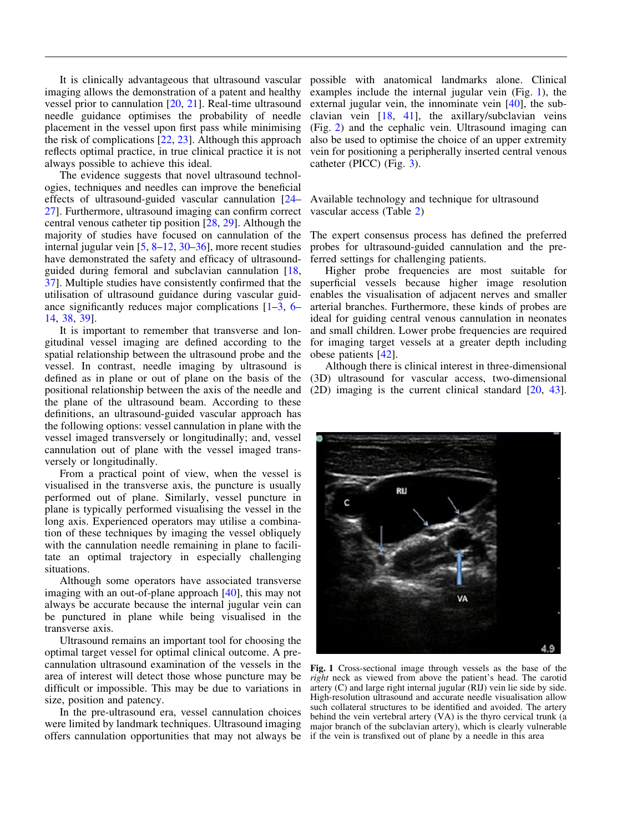It is clinically advantageous that ultrasound vascular imaging allows the demonstration of a patent and healthy vessel prior to cannulation [[20](#page-11-0), [21](#page-11-0)]. Real-time ultrasound needle guidance optimises the probability of needle placement in the vessel upon first pass while minimising the risk of complications [[22](#page-11-0), [23](#page-11-0)]. Although this approach reflects optimal practice, in true clinical practice it is not always possible to achieve this ideal.

The evidence suggests that novel ultrasound technologies, techniques and needles can improve the beneficial effects of ultrasound-guided vascular cannulation [[24](#page-11-0)– [27\]](#page-11-0). Furthermore, ultrasound imaging can confirm correct central venous catheter tip position [\[28,](#page-11-0) [29](#page-11-0)]. Although the majority of studies have focused on cannulation of the internal jugular vein [[5,](#page-10-0) [8](#page-10-0)[–12,](#page-11-0) [30–36](#page-11-0)], more recent studies have demonstrated the safety and efficacy of ultrasoundguided during femoral and subclavian cannulation [\[18,](#page-11-0) [37\]](#page-11-0). Multiple studies have consistently confirmed that the utilisation of ultrasound guidance during vascular guidance significantly reduces major complications  $[1-3, 6 [1-3, 6 [1-3, 6-$ [14,](#page-11-0) [38,](#page-11-0) [39](#page-11-0)].

It is important to remember that transverse and longitudinal vessel imaging are defined according to the spatial relationship between the ultrasound probe and the vessel. In contrast, needle imaging by ultrasound is defined as in plane or out of plane on the basis of the positional relationship between the axis of the needle and the plane of the ultrasound beam. According to these definitions, an ultrasound-guided vascular approach has the following options: vessel cannulation in plane with the vessel imaged transversely or longitudinally; and, vessel cannulation out of plane with the vessel imaged transversely or longitudinally.

From a practical point of view, when the vessel is visualised in the transverse axis, the puncture is usually performed out of plane. Similarly, vessel puncture in plane is typically performed visualising the vessel in the long axis. Experienced operators may utilise a combination of these techniques by imaging the vessel obliquely with the cannulation needle remaining in plane to facilitate an optimal trajectory in especially challenging situations.

Although some operators have associated transverse imaging with an out-of-plane approach [\[40\]](#page-11-0), this may not always be accurate because the internal jugular vein can be punctured in plane while being visualised in the transverse axis.

Ultrasound remains an important tool for choosing the optimal target vessel for optimal clinical outcome. A precannulation ultrasound examination of the vessels in the area of interest will detect those whose puncture may be difficult or impossible. This may be due to variations in size, position and patency.

In the pre-ultrasound era, vessel cannulation choices were limited by landmark techniques. Ultrasound imaging offers cannulation opportunities that may not always be

possible with anatomical landmarks alone. Clinical examples include the internal jugular vein (Fig. 1), the external jugular vein, the innominate vein [[40](#page-11-0)], the subclavian vein [[18,](#page-11-0) [41\]](#page-11-0), the axillary/subclavian veins (Fig. [2](#page-4-0)) and the cephalic vein. Ultrasound imaging can also be used to optimise the choice of an upper extremity vein for positioning a peripherally inserted central venous catheter (PICC) (Fig. [3\)](#page-4-0).

Available technology and technique for ultrasound vascular access (Table [2\)](#page-5-0)

The expert consensus process has defined the preferred probes for ultrasound-guided cannulation and the preferred settings for challenging patients.

Higher probe frequencies are most suitable for superficial vessels because higher image resolution enables the visualisation of adjacent nerves and smaller arterial branches. Furthermore, these kinds of probes are ideal for guiding central venous cannulation in neonates and small children. Lower probe frequencies are required for imaging target vessels at a greater depth including obese patients [[42](#page-11-0)].

Although there is clinical interest in three-dimensional (3D) ultrasound for vascular access, two-dimensional (2D) imaging is the current clinical standard [[20](#page-11-0), [43](#page-11-0)].



Fig. 1 Cross-sectional image through vessels as the base of the right neck as viewed from above the patient's head. The carotid artery (C) and large right internal jugular (RIJ) vein lie side by side. High-resolution ultrasound and accurate needle visualisation allow such collateral structures to be identified and avoided. The artery behind the vein vertebral artery (VA) is the thyro cervical trunk (a major branch of the subclavian artery), which is clearly vulnerable if the vein is transfixed out of plane by a needle in this area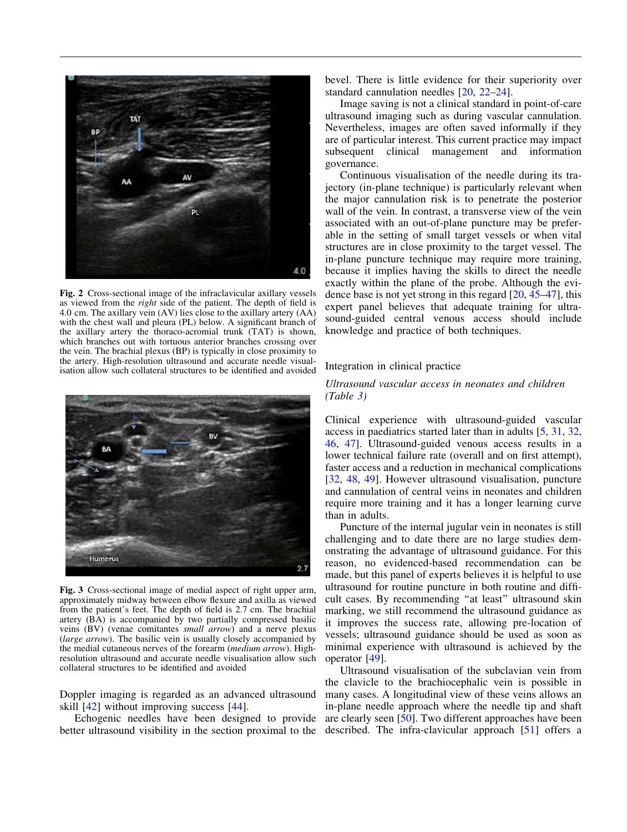<span id="page-4-0"></span>

Fig. 2 Cross-sectional image of the infraclavicular axillary vessels as viewed from the right side of the patient. The depth of field is 4.0 cm. The axillary vein (AV) lies close to the axillary artery (AA) with the chest wall and pleura (PL) below. A significant branch of the axillary artery the thoraco-acromial trunk (TAT) is shown, which branches out with tortuous anterior branches crossing over the vein. The brachial plexus (BP) is typically in close proximity to the artery. High-resolution ultrasound and accurate needle visualisation allow such collateral structures to be identified and avoided



Fig. 3 Cross-sectional image of medial aspect of right upper arm, approximately midway between elbow flexure and axilla as viewed from the patient's feet. The depth of field is 2.7 cm. The brachial artery (BA) is accompanied by two partially compressed basilic veins (BV) (venae comitantes small arrow) and a nerve plexus (*large arrow*). The basilic vein is usually closely accompanied by the medial cutaneous nerves of the forearm (medium arrow). Highresolution ultrasound and accurate needle visualisation allow such collateral structures to be identified and avoided

Doppler imaging is regarded as an advanced ultrasound skill [[42](#page-11-0)] without improving success [\[44\]](#page-11-0).

Echogenic needles have been designed to provide better ultrasound visibility in the section proximal to the bevel. There is little evidence for their superiority over standard cannulation needles [[20](#page-11-0), [22–24](#page-11-0)].

Image saving is not a clinical standard in point-of-care ultrasound imaging such as during vascular cannulation. Nevertheless, images are often saved informally if they are of particular interest. This current practice may impact subsequent clinical management and information governance.

Continuous visualisation of the needle during its trajectory (in-plane technique) is particularly relevant when the major cannulation risk is to penetrate the posterior wall of the vein. In contrast, a transverse view of the vein associated with an out-of-plane puncture may be preferable in the setting of small target vessels or when vital structures are in close proximity to the target vessel. The in-plane puncture technique may require more training, because it implies having the skills to direct the needle exactly within the plane of the probe. Although the evidence base is not yet strong in this regard [\[20,](#page-11-0) [45](#page-12-0)–[47](#page-12-0)], this expert panel believes that adequate training for ultrasound-guided central venous access should include knowledge and practice of both techniques.

#### Integration in clinical practice

#### Ultrasound vascular access in neonates and children (Table [3\)](#page-5-0)

Clinical experience with ultrasound-guided vascular access in paediatrics started later than in adults [\[5](#page-10-0), [31](#page-11-0), [32](#page-11-0), [46](#page-12-0), [47](#page-12-0)]. Ultrasound-guided venous access results in a lower technical failure rate (overall and on first attempt), faster access and a reduction in mechanical complications [\[32,](#page-11-0) [48,](#page-12-0) [49\]](#page-12-0). However ultrasound visualisation, puncture and cannulation of central veins in neonates and children require more training and it has a longer learning curve than in adults.

Puncture of the internal jugular vein in neonates is still challenging and to date there are no large studies demonstrating the advantage of ultrasound guidance. For this reason, no evidenced-based recommendation can be made, but this panel of experts believes it is helpful to use ultrasound for routine puncture in both routine and difficult cases. By recommending ''at least'' ultrasound skin marking, we still recommend the ultrasound guidance as it improves the success rate, allowing pre-location of vessels; ultrasound guidance should be used as soon as minimal experience with ultrasound is achieved by the operator [[49](#page-12-0)].

Ultrasound visualisation of the subclavian vein from the clavicle to the brachiocephalic vein is possible in many cases. A longitudinal view of these veins allows an in-plane needle approach where the needle tip and shaft are clearly seen [[50](#page-12-0)]. Two different approaches have been described. The infra-clavicular approach [\[51\]](#page-12-0) offers a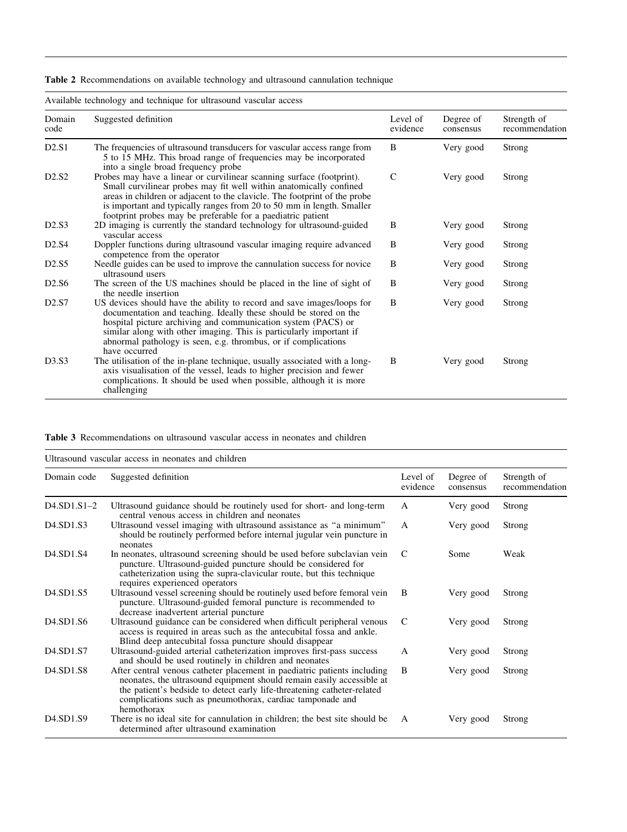<span id="page-5-0"></span>Table 2 Recommendations on available technology and ultrasound cannulation technique

| Domain<br>code                 | Suggested definition                                                                                                                                                                                                                                                                                                                                                   | Level of<br>evidence | Degree of<br>consensus | Strength of<br>recommendation |
|--------------------------------|------------------------------------------------------------------------------------------------------------------------------------------------------------------------------------------------------------------------------------------------------------------------------------------------------------------------------------------------------------------------|----------------------|------------------------|-------------------------------|
| D2.S1                          | The frequencies of ultrasound transducers for vascular access range from<br>5 to 15 MHz. This broad range of frequencies may be incorporated<br>into a single broad frequency probe                                                                                                                                                                                    | B                    | Very good              | Strong                        |
| D2.S2                          | Probes may have a linear or curvilinear scanning surface (footprint).<br>Small curvilinear probes may fit well within anatomically confined<br>areas in children or adjacent to the clavicle. The footprint of the probe<br>is important and typically ranges from 20 to 50 mm in length. Smaller<br>footprint probes may be preferable for a paediatric patient       | C                    | Very good              | Strong                        |
| D2.S3                          | 2D imaging is currently the standard technology for ultrasound-guided<br>vascular access                                                                                                                                                                                                                                                                               | B                    | Very good              | Strong                        |
| D2.S4                          | Doppler functions during ultrasound vascular imaging require advanced<br>competence from the operator                                                                                                                                                                                                                                                                  | B                    | Very good              | Strong                        |
| D2.S5                          | Needle guides can be used to improve the cannulation success for novice<br>ultrasound users                                                                                                                                                                                                                                                                            | B                    | Very good              | Strong                        |
| D2.S6                          | The screen of the US machines should be placed in the line of sight of<br>the needle insertion                                                                                                                                                                                                                                                                         | B                    | Very good              | Strong                        |
| D <sub>2</sub> .S <sub>7</sub> | US devices should have the ability to record and save images/loops for<br>documentation and teaching. Ideally these should be stored on the<br>hospital picture archiving and communication system (PACS) or<br>similar along with other imaging. This is particularly important if<br>abnormal pathology is seen, e.g. thrombus, or if complications<br>have occurred | B                    | Very good              | Strong                        |
| D3.S3                          | The utilisation of the in-plane technique, usually associated with a long-<br>axis visualisation of the vessel, leads to higher precision and fewer<br>complications. It should be used when possible, although it is more<br>challenging                                                                                                                              | B                    | Very good              | Strong                        |

Available technology and technique for ultrasound vascular access

#### Table 3 Recommendations on ultrasound vascular access in neonates and children

| Ultrasound vascular access in neonates and children |                                                                                                                                                                                                                                                                                                         |                      |                        |                               |
|-----------------------------------------------------|---------------------------------------------------------------------------------------------------------------------------------------------------------------------------------------------------------------------------------------------------------------------------------------------------------|----------------------|------------------------|-------------------------------|
| Domain code                                         | Suggested definition                                                                                                                                                                                                                                                                                    | Level of<br>evidence | Degree of<br>consensus | Strength of<br>recommendation |
| $D4.SD1.S1-2$                                       | Ultrasound guidance should be routinely used for short- and long-term<br>central venous access in children and neonates                                                                                                                                                                                 | A                    | Very good              | Strong                        |
| D4.SD1.S3                                           | Ultrasound vessel imaging with ultrasound assistance as "a minimum"<br>should be routinely performed before internal jugular vein puncture in<br>neonates                                                                                                                                               | $\mathsf{A}$         | Very good              | Strong                        |
| D4.SD1.S4                                           | In neonates, ultrasound screening should be used before subclavian vein<br>puncture. Ultrasound-guided puncture should be considered for<br>catheterization using the supra-clavicular route, but this technique<br>requires experienced operators                                                      | C                    | Some                   | Weak                          |
| D <sub>4</sub> .SD <sub>1</sub> .S <sub>5</sub>     | Ultrasound vessel screening should be routinely used before femoral vein<br>puncture. Ultrasound-guided femoral puncture is recommended to<br>decrease inadvertent arterial puncture                                                                                                                    | B                    | Very good              | Strong                        |
| D <sub>4</sub> .SD <sub>1.S6</sub>                  | Ultrasound guidance can be considered when difficult peripheral venous<br>access is required in areas such as the antecubital fossa and ankle.<br>Blind deep antecubital fossa puncture should disappear                                                                                                | C                    | Very good              | Strong                        |
| D <sub>4</sub> .SD <sub>1</sub> .S <sub>7</sub>     | Ultrasound-guided arterial catheterization improves first-pass success<br>and should be used routinely in children and neonates                                                                                                                                                                         | A                    | Very good              | Strong                        |
| D <sub>4</sub> .SD <sub>1</sub> .S <sub>8</sub>     | After central venous catheter placement in paediatric patients including<br>neonates, the ultrasound equipment should remain easily accessible at<br>the patient's bedside to detect early life-threatening catheter-related<br>complications such as pneumothorax, cardiac tamponade and<br>hemothorax | B                    | Very good              | Strong                        |
| D <sub>4</sub> .SD <sub>1</sub> .S <sub>9</sub>     | There is no ideal site for cannulation in children; the best site should be<br>determined after ultrasound examination                                                                                                                                                                                  | A                    | Very good              | Strong                        |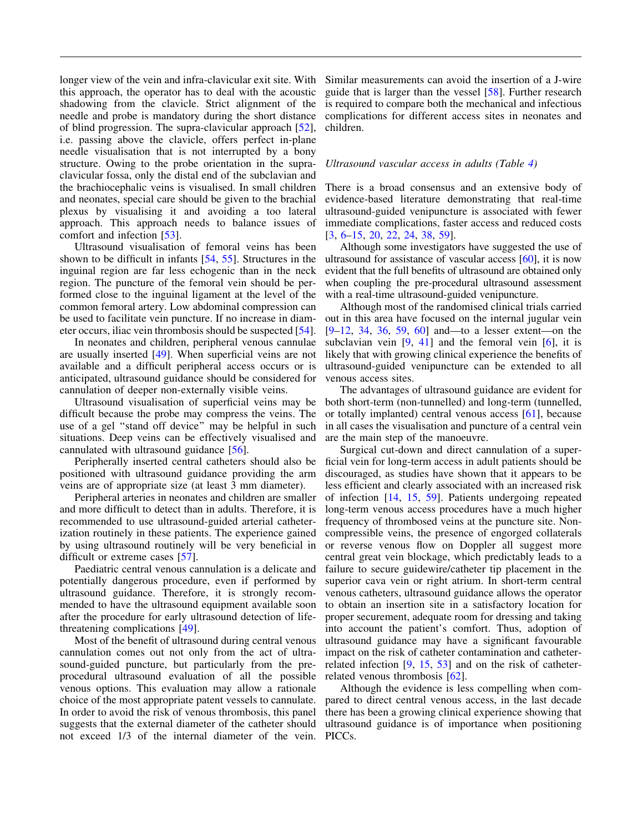longer view of the vein and infra-clavicular exit site. With this approach, the operator has to deal with the acoustic shadowing from the clavicle. Strict alignment of the needle and probe is mandatory during the short distance of blind progression. The supra-clavicular approach [[52](#page-12-0)], i.e. passing above the clavicle, offers perfect in-plane needle visualisation that is not interrupted by a bony structure. Owing to the probe orientation in the supraclavicular fossa, only the distal end of the subclavian and the brachiocephalic veins is visualised. In small children and neonates, special care should be given to the brachial plexus by visualising it and avoiding a too lateral approach. This approach needs to balance issues of comfort and infection [\[53\]](#page-12-0).

Ultrasound visualisation of femoral veins has been shown to be difficult in infants [[54](#page-12-0), [55](#page-12-0)]. Structures in the inguinal region are far less echogenic than in the neck region. The puncture of the femoral vein should be performed close to the inguinal ligament at the level of the common femoral artery. Low abdominal compression can be used to facilitate vein puncture. If no increase in diameter occurs, iliac vein thrombosis should be suspected [[54](#page-12-0)].

In neonates and children, peripheral venous cannulae are usually inserted [[49](#page-12-0)]. When superficial veins are not available and a difficult peripheral access occurs or is anticipated, ultrasound guidance should be considered for cannulation of deeper non-externally visible veins.

Ultrasound visualisation of superficial veins may be difficult because the probe may compress the veins. The use of a gel ''stand off device'' may be helpful in such situations. Deep veins can be effectively visualised and cannulated with ultrasound guidance [\[56\]](#page-12-0).

Peripherally inserted central catheters should also be positioned with ultrasound guidance providing the arm veins are of appropriate size (at least 3 mm diameter).

Peripheral arteries in neonates and children are smaller and more difficult to detect than in adults. Therefore, it is recommended to use ultrasound-guided arterial catheterization routinely in these patients. The experience gained by using ultrasound routinely will be very beneficial in difficult or extreme cases [[57](#page-12-0)].

Paediatric central venous cannulation is a delicate and potentially dangerous procedure, even if performed by ultrasound guidance. Therefore, it is strongly recommended to have the ultrasound equipment available soon after the procedure for early ultrasound detection of lifethreatening complications [\[49\]](#page-12-0).

Most of the benefit of ultrasound during central venous cannulation comes out not only from the act of ultrasound-guided puncture, but particularly from the preprocedural ultrasound evaluation of all the possible venous options. This evaluation may allow a rationale choice of the most appropriate patent vessels to cannulate. In order to avoid the risk of venous thrombosis, this panel suggests that the external diameter of the catheter should not exceed 1/3 of the internal diameter of the vein. PICCs.

Similar measurements can avoid the insertion of a J-wire guide that is larger than the vessel [[58](#page-12-0)]. Further research is required to compare both the mechanical and infectious complications for different access sites in neonates and children.

#### Ultrasound vascular access in adults (Table [4](#page-7-0))

There is a broad consensus and an extensive body of evidence-based literature demonstrating that real-time ultrasound-guided venipuncture is associated with fewer immediate complications, faster access and reduced costs [\[3,](#page-10-0) [6](#page-10-0)[–15,](#page-11-0) [20](#page-11-0), [22,](#page-11-0) [24](#page-11-0), [38,](#page-11-0) [59](#page-12-0)].

Although some investigators have suggested the use of ultrasound for assistance of vascular access [[60\]](#page-12-0), it is now evident that the full benefits of ultrasound are obtained only when coupling the pre-procedural ultrasound assessment with a real-time ultrasound-guided venipuncture.

Although most of the randomised clinical trials carried out in this area have focused on the internal jugular vein [\[9–](#page-10-0)[12](#page-11-0), [34](#page-11-0), [36,](#page-11-0) [59,](#page-12-0) [60](#page-12-0)] and—to a lesser extent—on the subclavian vein  $[9, 41]$  $[9, 41]$  $[9, 41]$  $[9, 41]$  and the femoral vein  $[6]$  $[6]$ , it is likely that with growing clinical experience the benefits of ultrasound-guided venipuncture can be extended to all venous access sites.

The advantages of ultrasound guidance are evident for both short-term (non-tunnelled) and long-term (tunnelled, or totally implanted) central venous access [[61\]](#page-12-0), because in all cases the visualisation and puncture of a central vein are the main step of the manoeuvre.

Surgical cut-down and direct cannulation of a superficial vein for long-term access in adult patients should be discouraged, as studies have shown that it appears to be less efficient and clearly associated with an increased risk of infection [[14,](#page-11-0) [15](#page-11-0), [59](#page-12-0)]. Patients undergoing repeated long-term venous access procedures have a much higher frequency of thrombosed veins at the puncture site. Noncompressible veins, the presence of engorged collaterals or reverse venous flow on Doppler all suggest more central great vein blockage, which predictably leads to a failure to secure guidewire/catheter tip placement in the superior cava vein or right atrium. In short-term central venous catheters, ultrasound guidance allows the operator to obtain an insertion site in a satisfactory location for proper securement, adequate room for dressing and taking into account the patient's comfort. Thus, adoption of ultrasound guidance may have a significant favourable impact on the risk of catheter contamination and catheterrelated infection [\[9,](#page-10-0) [15,](#page-11-0) [53\]](#page-12-0) and on the risk of catheterrelated venous thrombosis [[62](#page-12-0)].

Although the evidence is less compelling when compared to direct central venous access, in the last decade there has been a growing clinical experience showing that ultrasound guidance is of importance when positioning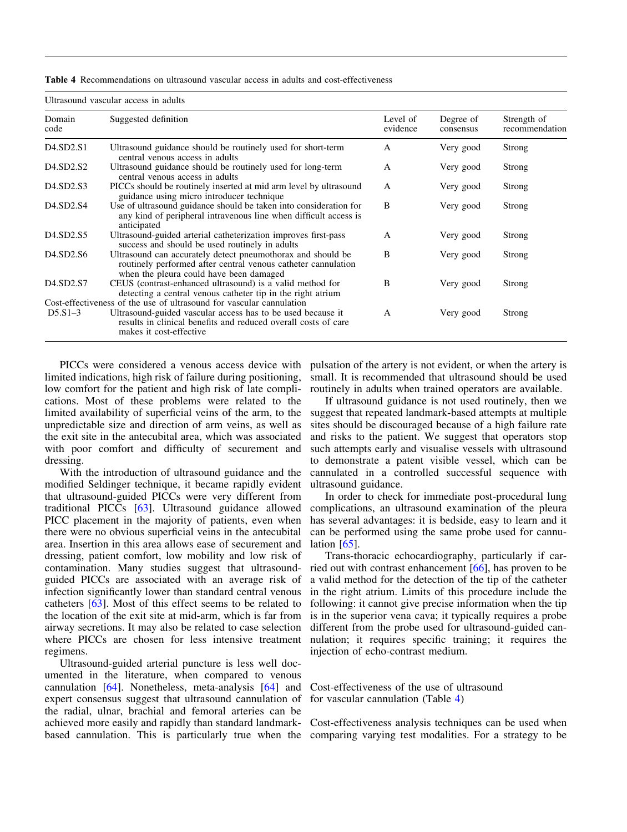<span id="page-7-0"></span>Table 4 Recommendations on ultrasound vascular access in adults and cost-effectiveness

| Ultrasound vascular access in adults            |                                                                                                                                                                         |                      |                        |                               |
|-------------------------------------------------|-------------------------------------------------------------------------------------------------------------------------------------------------------------------------|----------------------|------------------------|-------------------------------|
| Domain<br>code                                  | Suggested definition                                                                                                                                                    | Level of<br>evidence | Degree of<br>consensus | Strength of<br>recommendation |
| D4.SD2.S1                                       | Ultrasound guidance should be routinely used for short-term<br>central venous access in adults                                                                          | $\mathsf{A}$         | Very good              | Strong                        |
| D <sub>4</sub> .SD <sub>2</sub> .S <sub>2</sub> | Ultrasound guidance should be routinely used for long-term<br>central venous access in adults                                                                           | $\mathsf{A}$         | Very good              | Strong                        |
| D <sub>4</sub> .SD <sub>2</sub> .S <sub>3</sub> | PICCs should be routinely inserted at mid arm level by ultrasound<br>guidance using micro introducer technique                                                          | A                    | Very good              | Strong                        |
| D <sub>4</sub> .SD <sub>2</sub> .S <sub>4</sub> | Use of ultrasound guidance should be taken into consideration for<br>any kind of peripheral intravenous line when difficult access is<br>anticipated                    | B                    | Very good              | Strong                        |
| D <sub>4</sub> .SD <sub>2</sub> .S <sub>5</sub> | Ultrasound-guided arterial catheterization improves first-pass<br>success and should be used routinely in adults                                                        | $\mathsf{A}$         | Very good              | Strong                        |
| D <sub>4</sub> .SD <sub>2</sub> .S <sub>6</sub> | Ultrasound can accurately detect pneumothorax and should be<br>routinely performed after central venous catheter cannulation<br>when the pleura could have been damaged | B                    | Very good              | Strong                        |
| D <sub>4</sub> .SD <sub>2</sub> .S <sub>7</sub> | CEUS (contrast-enhanced ultrasound) is a valid method for<br>detecting a central venous catheter tip in the right atrium                                                | B                    | Very good              | Strong                        |
|                                                 | Cost-effectiveness of the use of ultrasound for vascular cannulation                                                                                                    |                      |                        |                               |
| $D5.S1-3$                                       | Ultrasound-guided vascular access has to be used because it<br>results in clinical benefits and reduced overall costs of care<br>makes it cost-effective                | $\mathsf{A}$         | Very good              | Strong                        |

PICCs were considered a venous access device with limited indications, high risk of failure during positioning, low comfort for the patient and high risk of late complications. Most of these problems were related to the limited availability of superficial veins of the arm, to the unpredictable size and direction of arm veins, as well as the exit site in the antecubital area, which was associated with poor comfort and difficulty of securement and dressing.

With the introduction of ultrasound guidance and the modified Seldinger technique, it became rapidly evident that ultrasound-guided PICCs were very different from traditional PICCs [[63](#page-12-0)]. Ultrasound guidance allowed PICC placement in the majority of patients, even when there were no obvious superficial veins in the antecubital area. Insertion in this area allows ease of securement and dressing, patient comfort, low mobility and low risk of contamination. Many studies suggest that ultrasoundguided PICCs are associated with an average risk of infection significantly lower than standard central venous catheters [[63](#page-12-0)]. Most of this effect seems to be related to the location of the exit site at mid-arm, which is far from airway secretions. It may also be related to case selection where PICCs are chosen for less intensive treatment regimens.

Ultrasound-guided arterial puncture is less well documented in the literature, when compared to venous cannulation [\[64\]](#page-12-0). Nonetheless, meta-analysis [\[64\]](#page-12-0) and expert consensus suggest that ultrasound cannulation of the radial, ulnar, brachial and femoral arteries can be achieved more easily and rapidly than standard landmarkbased cannulation. This is particularly true when the

pulsation of the artery is not evident, or when the artery is small. It is recommended that ultrasound should be used routinely in adults when trained operators are available.

If ultrasound guidance is not used routinely, then we suggest that repeated landmark-based attempts at multiple sites should be discouraged because of a high failure rate and risks to the patient. We suggest that operators stop such attempts early and visualise vessels with ultrasound to demonstrate a patent visible vessel, which can be cannulated in a controlled successful sequence with ultrasound guidance.

In order to check for immediate post-procedural lung complications, an ultrasound examination of the pleura has several advantages: it is bedside, easy to learn and it can be performed using the same probe used for cannu-lation [[65](#page-12-0)].

Trans-thoracic echocardiography, particularly if carried out with contrast enhancement [[66\]](#page-12-0), has proven to be a valid method for the detection of the tip of the catheter in the right atrium. Limits of this procedure include the following: it cannot give precise information when the tip is in the superior vena cava; it typically requires a probe different from the probe used for ultrasound-guided cannulation; it requires specific training; it requires the injection of echo-contrast medium.

Cost-effectiveness of the use of ultrasound for vascular cannulation (Table 4)

Cost-effectiveness analysis techniques can be used when comparing varying test modalities. For a strategy to be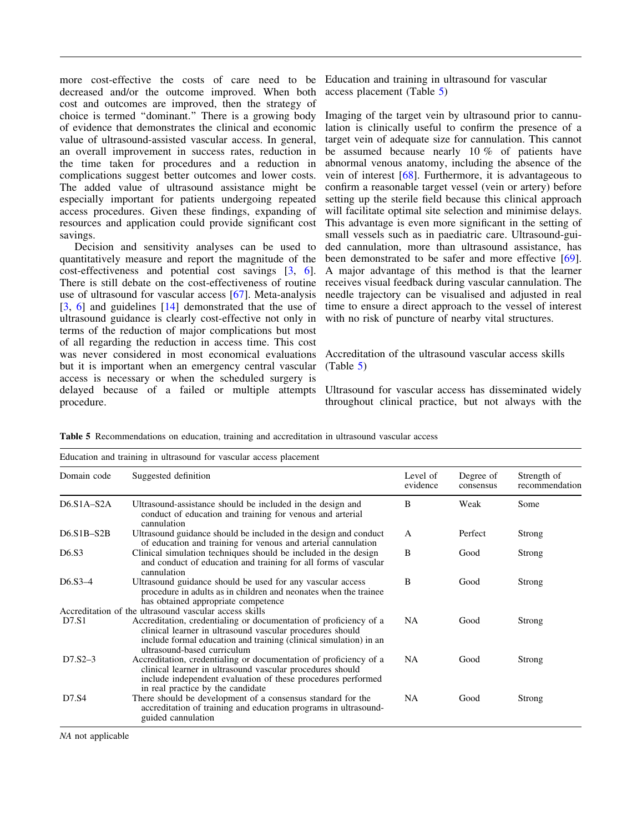more cost-effective the costs of care need to be decreased and/or the outcome improved. When both cost and outcomes are improved, then the strategy of choice is termed ''dominant.'' There is a growing body of evidence that demonstrates the clinical and economic value of ultrasound-assisted vascular access. In general, an overall improvement in success rates, reduction in the time taken for procedures and a reduction in complications suggest better outcomes and lower costs. The added value of ultrasound assistance might be especially important for patients undergoing repeated access procedures. Given these findings, expanding of resources and application could provide significant cost savings.

Decision and sensitivity analyses can be used to quantitatively measure and report the magnitude of the cost-effectiveness and potential cost savings [[3,](#page-10-0) [6](#page-10-0)]. There is still debate on the cost-effectiveness of routine use of ultrasound for vascular access [[67](#page-12-0)]. Meta-analysis [\[3](#page-10-0), [6\]](#page-10-0) and guidelines [\[14\]](#page-11-0) demonstrated that the use of ultrasound guidance is clearly cost-effective not only in terms of the reduction of major complications but most of all regarding the reduction in access time. This cost was never considered in most economical evaluations but it is important when an emergency central vascular access is necessary or when the scheduled surgery is delayed because of a failed or multiple attempts procedure.

Education and training in ultrasound for vascular access placement (Table 5)

Imaging of the target vein by ultrasound prior to cannulation is clinically useful to confirm the presence of a target vein of adequate size for cannulation. This cannot be assumed because nearly 10 % of patients have abnormal venous anatomy, including the absence of the vein of interest [[68\]](#page-12-0). Furthermore, it is advantageous to confirm a reasonable target vessel (vein or artery) before setting up the sterile field because this clinical approach will facilitate optimal site selection and minimise delays. This advantage is even more significant in the setting of small vessels such as in paediatric care. Ultrasound-guided cannulation, more than ultrasound assistance, has been demonstrated to be safer and more effective [\[69\]](#page-12-0). A major advantage of this method is that the learner receives visual feedback during vascular cannulation. The needle trajectory can be visualised and adjusted in real time to ensure a direct approach to the vessel of interest with no risk of puncture of nearby vital structures.

Accreditation of the ultrasound vascular access skills (Table 5)

Ultrasound for vascular access has disseminated widely throughout clinical practice, but not always with the

Table 5 Recommendations on education, training and accreditation in ultrasound vascular access

| Education and training in ultrasound for vascular access placement |                                                                                                                                                                                                                                     |                      |                        |                               |
|--------------------------------------------------------------------|-------------------------------------------------------------------------------------------------------------------------------------------------------------------------------------------------------------------------------------|----------------------|------------------------|-------------------------------|
| Domain code                                                        | Suggested definition                                                                                                                                                                                                                | Level of<br>evidence | Degree of<br>consensus | Strength of<br>recommendation |
| $D6.S1A-S2A$                                                       | Ultrasound-assistance should be included in the design and<br>conduct of education and training for venous and arterial<br>cannulation                                                                                              | B                    | Weak                   | Some                          |
| $D6.S1B-S2B$                                                       | Ultrasound guidance should be included in the design and conduct<br>of education and training for venous and arterial cannulation                                                                                                   | A                    | Perfect                | Strong                        |
| D <sub>6.</sub> S <sub>3</sub>                                     | Clinical simulation techniques should be included in the design<br>and conduct of education and training for all forms of vascular<br>cannulation                                                                                   | B                    | Good                   | Strong                        |
| $D6.S3-4$                                                          | Ultrasound guidance should be used for any vascular access<br>procedure in adults as in children and neonates when the trainee<br>has obtained appropriate competence                                                               | B                    | Good                   | Strong                        |
|                                                                    | Accreditation of the ultrasound vascular access skills                                                                                                                                                                              |                      |                        |                               |
| D7.S1                                                              | Accreditation, credentialing or documentation of proficiency of a<br>clinical learner in ultrasound vascular procedures should<br>include formal education and training (clinical simulation) in an<br>ultrasound-based curriculum  | <b>NA</b>            | Good                   | Strong                        |
| $D7.S2-3$                                                          | Accreditation, credentialing or documentation of proficiency of a<br>clinical learner in ultrasound vascular procedures should<br>include independent evaluation of these procedures performed<br>in real practice by the candidate | <b>NA</b>            | Good                   | Strong                        |
| D7.S4                                                              | There should be development of a consensus standard for the<br>accreditation of training and education programs in ultrasound-<br>guided cannulation                                                                                | <b>NA</b>            | Good                   | Strong                        |

NA not applicable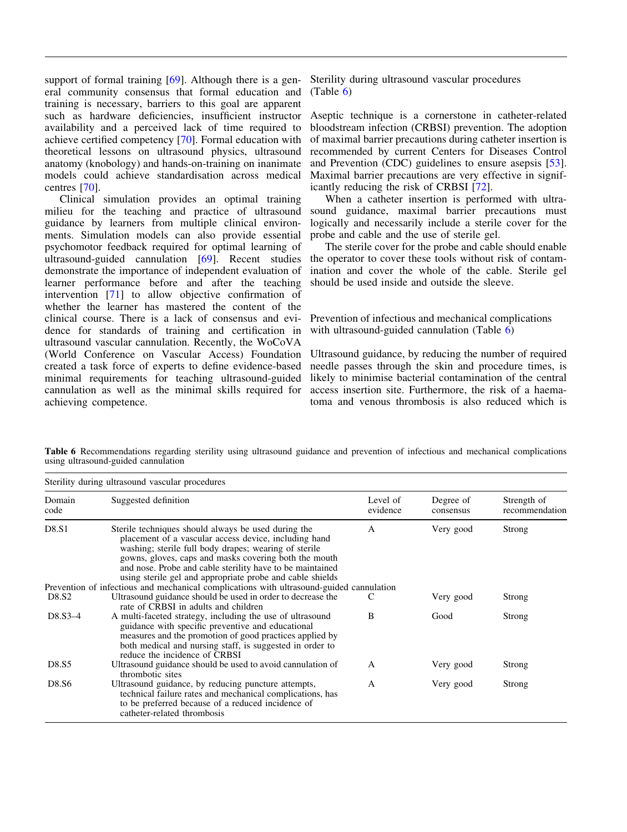support of formal training [\[69](#page-12-0)]. Although there is a general community consensus that formal education and training is necessary, barriers to this goal are apparent such as hardware deficiencies, insufficient instructor availability and a perceived lack of time required to achieve certified competency [[70](#page-12-0)]. Formal education with theoretical lessons on ultrasound physics, ultrasound anatomy (knobology) and hands-on-training on inanimate models could achieve standardisation across medical centres [\[70\]](#page-12-0).

Clinical simulation provides an optimal training milieu for the teaching and practice of ultrasound guidance by learners from multiple clinical environments. Simulation models can also provide essential psychomotor feedback required for optimal learning of ultrasound-guided cannulation [\[69\]](#page-12-0). Recent studies demonstrate the importance of independent evaluation of learner performance before and after the teaching intervention [[71](#page-12-0)] to allow objective confirmation of whether the learner has mastered the content of the clinical course. There is a lack of consensus and evidence for standards of training and certification in ultrasound vascular cannulation. Recently, the WoCoVA (World Conference on Vascular Access) Foundation created a task force of experts to define evidence-based minimal requirements for teaching ultrasound-guided cannulation as well as the minimal skills required for achieving competence.

Sterility during ultrasound vascular procedures (Table 6)

Aseptic technique is a cornerstone in catheter-related bloodstream infection (CRBSI) prevention. The adoption of maximal barrier precautions during catheter insertion is recommended by current Centers for Diseases Control and Prevention (CDC) guidelines to ensure asepsis [\[53](#page-12-0)]. Maximal barrier precautions are very effective in significantly reducing the risk of CRBSI [[72](#page-12-0)].

When a catheter insertion is performed with ultrasound guidance, maximal barrier precautions must logically and necessarily include a sterile cover for the probe and cable and the use of sterile gel.

The sterile cover for the probe and cable should enable the operator to cover these tools without risk of contamination and cover the whole of the cable. Sterile gel should be used inside and outside the sleeve.

Prevention of infectious and mechanical complications with ultrasound-guided cannulation (Table 6)

Ultrasound guidance, by reducing the number of required needle passes through the skin and procedure times, is likely to minimise bacterial contamination of the central access insertion site. Furthermore, the risk of a haematoma and venous thrombosis is also reduced which is

| Sterility during ultrasound vascular procedures |                                                                                                                                                                                                                                                                                                                                                          |                      |                        |                               |  |
|-------------------------------------------------|----------------------------------------------------------------------------------------------------------------------------------------------------------------------------------------------------------------------------------------------------------------------------------------------------------------------------------------------------------|----------------------|------------------------|-------------------------------|--|
| Domain<br>code                                  | Suggested definition                                                                                                                                                                                                                                                                                                                                     | Level of<br>evidence | Degree of<br>consensus | Strength of<br>recommendation |  |
| D8.S1                                           | Sterile techniques should always be used during the<br>placement of a vascular access device, including hand<br>washing; sterile full body drapes; wearing of sterile<br>gowns, gloves, caps and masks covering both the mouth<br>and nose. Probe and cable sterility have to be maintained<br>using sterile gel and appropriate probe and cable shields | A                    | Very good              | Strong                        |  |
|                                                 | Prevention of infectious and mechanical complications with ultrasound-guided cannulation                                                                                                                                                                                                                                                                 |                      |                        |                               |  |
| D8.S2                                           | Ultrasound guidance should be used in order to decrease the<br>rate of CRBSI in adults and children                                                                                                                                                                                                                                                      | C                    | Very good              | Strong                        |  |
| $D8.S3-4$                                       | A multi-faceted strategy, including the use of ultrasound<br>guidance with specific preventive and educational<br>measures and the promotion of good practices applied by<br>both medical and nursing staff, is suggested in order to<br>reduce the incidence of CRBSI                                                                                   | B                    | Good                   | Strong                        |  |
| D8.S5                                           | Ultrasound guidance should be used to avoid cannulation of<br>thrombotic sites                                                                                                                                                                                                                                                                           | A                    | Very good              | Strong                        |  |
| D8.S6                                           | Ultrasound guidance, by reducing puncture attempts,<br>technical failure rates and mechanical complications, has<br>to be preferred because of a reduced incidence of<br>catheter-related thrombosis                                                                                                                                                     | А                    | Very good              | Strong                        |  |

Table 6 Recommendations regarding sterility using ultrasound guidance and prevention of infectious and mechanical complications using ultrasound-guided cannulation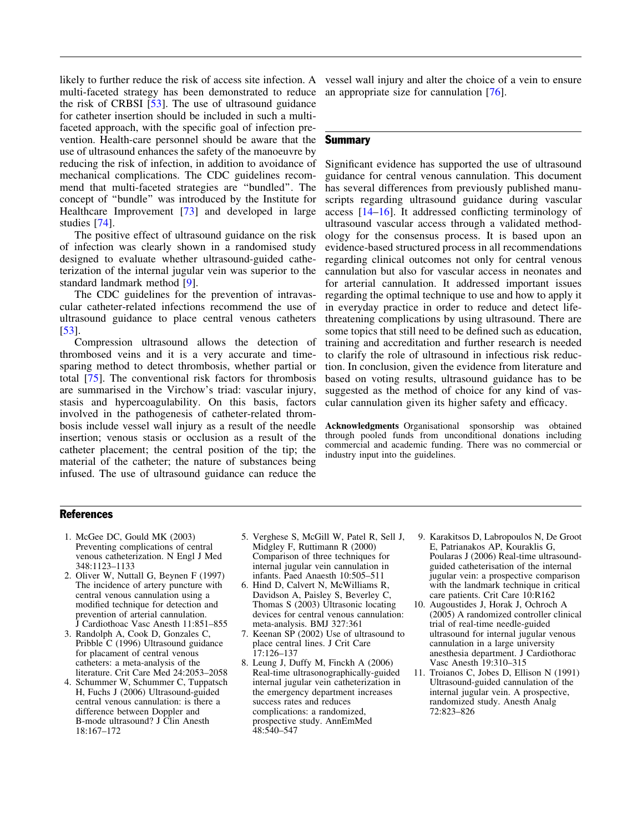<span id="page-10-0"></span>likely to further reduce the risk of access site infection. A multi-faceted strategy has been demonstrated to reduce the risk of CRBSI [\[53\]](#page-12-0). The use of ultrasound guidance for catheter insertion should be included in such a multifaceted approach, with the specific goal of infection prevention. Health-care personnel should be aware that the use of ultrasound enhances the safety of the manoeuvre by reducing the risk of infection, in addition to avoidance of mechanical complications. The CDC guidelines recommend that multi-faceted strategies are ''bundled''. The concept of ''bundle'' was introduced by the Institute for Healthcare Improvement [[73\]](#page-12-0) and developed in large studies [[74](#page-12-0)].

The positive effect of ultrasound guidance on the risk of infection was clearly shown in a randomised study designed to evaluate whether ultrasound-guided catheterization of the internal jugular vein was superior to the standard landmark method [9].

The CDC guidelines for the prevention of intravascular catheter-related infections recommend the use of ultrasound guidance to place central venous catheters [\[53\]](#page-12-0).

Compression ultrasound allows the detection of thrombosed veins and it is a very accurate and timesparing method to detect thrombosis, whether partial or total [\[75\]](#page-12-0). The conventional risk factors for thrombosis are summarised in the Virchow's triad: vascular injury, stasis and hypercoagulability. On this basis, factors involved in the pathogenesis of catheter-related thrombosis include vessel wall injury as a result of the needle insertion; venous stasis or occlusion as a result of the catheter placement; the central position of the tip; the material of the catheter; the nature of substances being infused. The use of ultrasound guidance can reduce the

vessel wall injury and alter the choice of a vein to ensure an appropriate size for cannulation [\[76\]](#page-12-0).

### Summary

Significant evidence has supported the use of ultrasound guidance for central venous cannulation. This document has several differences from previously published manuscripts regarding ultrasound guidance during vascular access [\[14–16](#page-11-0)]. It addressed conflicting terminology of ultrasound vascular access through a validated methodology for the consensus process. It is based upon an evidence-based structured process in all recommendations regarding clinical outcomes not only for central venous cannulation but also for vascular access in neonates and for arterial cannulation. It addressed important issues regarding the optimal technique to use and how to apply it in everyday practice in order to reduce and detect lifethreatening complications by using ultrasound. There are some topics that still need to be defined such as education, training and accreditation and further research is needed to clarify the role of ultrasound in infectious risk reduction. In conclusion, given the evidence from literature and based on voting results, ultrasound guidance has to be suggested as the method of choice for any kind of vascular cannulation given its higher safety and efficacy.

Acknowledgments Organisational sponsorship was obtained through pooled funds from unconditional donations including commercial and academic funding. There was no commercial or industry input into the guidelines.

#### **References**

- 1. McGee DC, Gould MK (2003) Preventing complications of central venous catheterization. N Engl J Med 348:1123–1133
- 2. Oliver W, Nuttall G, Beynen F (1997) The incidence of artery puncture with central venous cannulation using a modified technique for detection and prevention of arterial cannulation. J Cardiothoac Vasc Anesth 11:851–855
- 3. Randolph A, Cook D, Gonzales C, Pribble C (1996) Ultrasound guidance for placament of central venous catheters: a meta-analysis of the literature. Crit Care Med 24:2053–2058
- 4. Schummer W, Schummer C, Tuppatsch H, Fuchs J (2006) Ultrasound-guided central venous cannulation: is there a difference between Doppler and B-mode ultrasound? J Clin Anesth 18:167–172
- 5. Verghese S, McGill W, Patel R, Sell J, Midgley F, Ruttimann R (2000) Comparison of three techniques for internal jugular vein cannulation in infants. Paed Anaesth 10:505–511
- 6. Hind D, Calvert N, McWilliams R, Davidson A, Paisley S, Beverley C, Thomas S (2003) Ultrasonic locating devices for central venous cannulation: meta-analysis. BMJ 327:361
- 7. Keenan SP (2002) Use of ultrasound to place central lines. J Crit Care 17:126–137
- 8. Leung J, Duffy M, Finckh A (2006) Real-time ultrasonographically-guided internal jugular vein catheterization in the emergency department increases success rates and reduces complications: a randomized, prospective study. AnnEmMed 48:540–547
- 9. Karakitsos D, Labropoulos N, De Groot E, Patrianakos AP, Kouraklis G, Poularas J (2006) Real-time ultrasoundguided catheterisation of the internal jugular vein: a prospective comparison with the landmark technique in critical care patients. Crit Care 10:R162
- 10. Augoustides J, Horak J, Ochroch A (2005) A randomized controller clinical trial of real-time needle-guided ultrasound for internal jugular venous cannulation in a large university anesthesia department. J Cardiothorac Vasc Anesth 19:310–315
- 11. Troianos C, Jobes D, Ellison N (1991) Ultrasound-guided cannulation of the internal jugular vein. A prospective, randomized study. Anesth Analg 72:823–826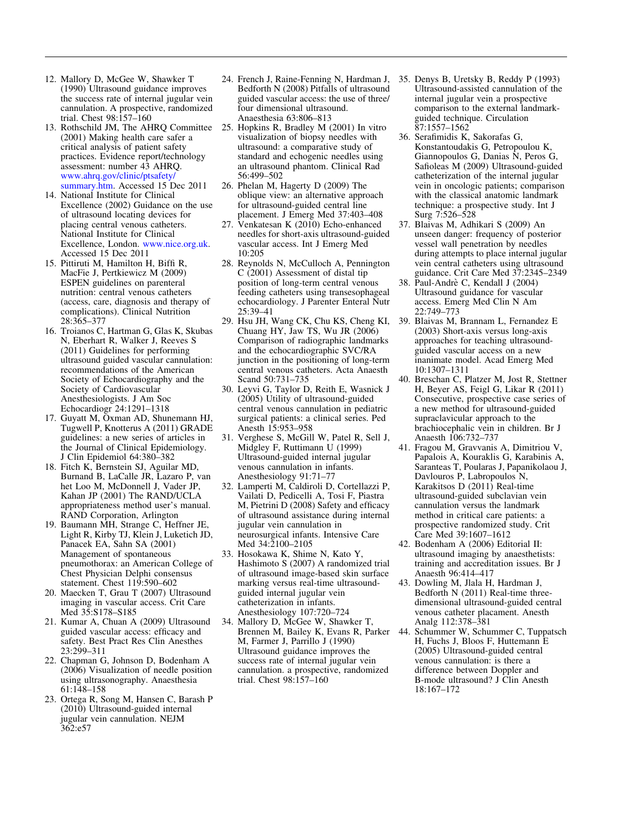- <span id="page-11-0"></span>12. Mallory D, McGee W, Shawker T (1990) Ultrasound guidance improves the success rate of internal jugular vein cannulation. A prospective, randomized trial. Chest 98:157–160
- 13. Rothschild JM, The AHRQ Committee (2001) Making health care safer a critical analysis of patient safety practices. Evidence report/technology assessment: number 43 AHRQ. [www.ahrq.gov/clinic/ptsafety/](http://www.ahrq.gov/clinic/ptsafety/summary.htm) [summary.htm](http://www.ahrq.gov/clinic/ptsafety/summary.htm). Accessed 15 Dec 2011
- 14. National Institute for Clinical Excellence (2002) Guidance on the use of ultrasound locating devices for placing central venous catheters. National Institute for Clinical Excellence, London. [www.nice.org.uk.](http://www.nice.org.uk) Accessed 15 Dec 2011
- 15. Pittiruti M, Hamilton H, Biffi R, MacFie J, Pertkiewicz M (2009) ESPEN guidelines on parenteral nutrition: central venous catheters (access, care, diagnosis and therapy of complications). Clinical Nutrition 28:365–377
- 16. Troianos C, Hartman G, Glas K, Skubas N, Eberhart R, Walker J, Reeves S (2011) Guidelines for performing ultrasound guided vascular cannulation: recommendations of the American Society of Echocardiography and the Society of Cardiovascular Anesthesiologists. J Am Soc Echocardiogr 24:1291–1318
- 17. Guyatt M, Oxman AD, Shunemann HJ, Tugwell P, Knotterus A (2011) GRADE guidelines: a new series of articles in the Journal of Clinical Epidemiology. J Clin Epidemiol 64:380–382
- 18. Fitch K, Bernstein SJ, Aguilar MD, Burnand B, LaCalle JR, Lazaro P, van het Loo M, McDonnell J, Vader JP, Kahan JP (2001) The RAND/UCLA appropriateness method user's manual. RAND Corporation, Arlington
- 19. Baumann MH, Strange C, Heffner JE, Light R, Kirby TJ, Klein J, Luketich JD, Panacek EA, Sahn SA (2001) Management of spontaneous pneumothorax: an American College of Chest Physician Delphi consensus statement. Chest 119:590–602
- 20. Maecken T, Grau T (2007) Ultrasound imaging in vascular access. Crit Care Med 35:S178–S185
- 21. Kumar A, Chuan A (2009) Ultrasound guided vascular access: efficacy and safety. Best Pract Res Clin Anesthes 23:299–311
- 22. Chapman G, Johnson D, Bodenham A (2006) Visualization of needle position using ultrasonography. Anaesthesia 61:148–158
- 23. Ortega R, Song M, Hansen C, Barash P (2010) Ultrasound-guided internal jugular vein cannulation. NEJM 362:e57
- 24. French J, Raine-Fenning N, Hardman J, Bedforth N (2008) Pitfalls of ultrasound guided vascular access: the use of three/ four dimensional ultrasound. Anaesthesia 63:806–813
- 25. Hopkins R, Bradley M (2001) In vitro visualization of biopsy needles with ultrasound: a comparative study of standard and echogenic needles using an ultrasound phantom. Clinical Rad 56:499–502
- 26. Phelan M, Hagerty D (2009) The oblique view: an alternative approach for ultrasound-guided central line placement. J Emerg Med 37:403–408
- 27. Venkatesan K (2010) Echo-enhanced needles for short-axis ultrasound-guided vascular access. Int J Emerg Med 10:205
- 28. Reynolds N, McCulloch A, Pennington C (2001) Assessment of distal tip position of long-term central venous feeding catheters using transesophageal echocardiology. J Parenter Enteral Nutr 25:39–41
- 29. Hsu JH, Wang CK, Chu KS, Cheng KI, Chuang HY, Jaw TS, Wu JR (2006) Comparison of radiographic landmarks and the echocardiographic SVC/RA junction in the positioning of long-term central venous catheters. Acta Anaesth Scand 50:731–735
- 30. Leyvi G, Taylor D, Reith E, Wasnick J (2005) Utility of ultrasound-guided central venous cannulation in pediatric surgical patients: a clinical series. Ped Anesth 15:953–958
- 31. Verghese S, McGill W, Patel R, Sell J, Midgley F, Ruttimann U (1999) Ultrasound-guided internal jugular venous cannulation in infants. Anesthesiology 91:71–77
- 32. Lamperti M, Caldiroli D, Cortellazzi P, Vailati D, Pedicelli A, Tosi F, Piastra M, Pietrini D (2008) Safety and efficacy of ultrasound assistance during internal jugular vein cannulation in neurosurgical infants. Intensive Care Med 34:2100–2105
- 33. Hosokawa K, Shime N, Kato Y, Hashimoto S (2007) A randomized trial of ultrasound image-based skin surface marking versus real-time ultrasoundguided internal jugular vein catheterization in infants. Anesthesiology 107:720–724
- 34. Mallory D, McGee W, Shawker T, Brennen M, Bailey K, Evans R, Parker M, Farmer J, Parrillo J (1990) Ultrasound guidance improves the success rate of internal jugular vein cannulation. a prospective, randomized trial. Chest 98:157–160
- 35. Denys B, Uretsky B, Reddy P (1993) Ultrasound-assisted cannulation of the internal jugular vein a prospective comparison to the external landmarkguided technique. Circulation 87:1557–1562
- 36. Serafimidis K, Sakorafas G, Konstantoudakis G, Petropoulou K, Giannopoulos G, Danias N, Peros G, Safioleas M (2009) Ultrasound-guided catheterization of the internal jugular vein in oncologic patients; comparison with the classical anatomic landmark technique: a prospective study. Int J Surg 7:526–528
- 37. Blaivas M, Adhikari S (2009) An unseen danger: frequency of posterior vessel wall penetration by needles during attempts to place internal jugular vein central catheters using ultrasound guidance. Crit Care Med 37:2345–2349
- 38. Paul-Andre` C, Kendall J (2004) Ultrasound guidance for vascular access. Emerg Med Clin N Am 22:749–773
- 39. Blaivas M, Brannam L, Fernandez E (2003) Short-axis versus long-axis approaches for teaching ultrasoundguided vascular access on a new inanimate model. Acad Emerg Med 10:1307–1311
- 40. Breschan C, Platzer M, Jost R, Stettner H, Beyer AS, Feigl G, Likar R (2011) Consecutive, prospective case series of a new method for ultrasound-guided supraclavicular approach to the brachiocephalic vein in children. Br J Anaesth 106:732–737
- 41. Fragou M, Gravvanis A, Dimitriou V, Papalois A, Kouraklis G, Karabinis A, Saranteas T, Poularas J, Papanikolaou J, Davlouros P, Labropoulos N, Karakitsos D (2011) Real-time ultrasound-guided subclavian vein cannulation versus the landmark method in critical care patients: a prospective randomized study. Crit Care Med 39:1607–1612
- 42. Bodenham A (2006) Editorial II: ultrasound imaging by anaesthetists: training and accreditation issues. Br J Anaesth 96:414–417
- 43. Dowling M, Jlala H, Hardman J, Bedforth N (2011) Real-time threedimensional ultrasound-guided central venous catheter placament. Anesth Analg 112:378–381
- 44. Schummer W, Schummer C, Tuppatsch H, Fuchs J, Bloos F, Huttemann E (2005) Ultrasound-guided central venous cannulation: is there a difference between Doppler and B-mode ultrasound? J Clin Anesth 18:167–172